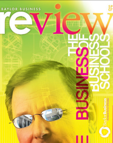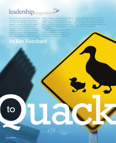### leadership erspective

Few people have impacted the day-to-day management of people and companies more than Ken Blanchard. A prominent, gregarious, sought-after author, speaker and business consultant, Blanchard is universally characterized by his friends, colleagues and clients as one of the most insightful, powerful and compassionate individuals in business today. From his phenomenal best-selling book, *The One* 

*Minute Manager*, coauthored with Spencer Johnson, which has sold more than 12 million copies and remains on best-seller lists, to *Lead like Jesus*, coauthored with Phil Hodges, Blanchard's impact as a writer is far reaching.

Blanchard is Chief Spiritual Officer of The Ken Blanchard Companies, an international management training and consulting firm that he and his wife,

Marjorie Blanchard, founded in 1979 in San Diego, California. He is cofounder of *The Center for FaithWalk Leadership*, which is dedicated to helping leaders walk their talk in the marketplace.

#### by Ken Blanchard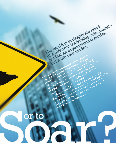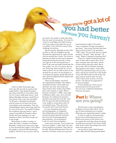

I went on safari three years ago, and I was with my wife at a party a few weeks before. They asked the guests who they would like to have dinner with. For me it was a really easy choice. I said Nelson Mandela, because I would like to have dinner with a man who was jailed for 28 years, mistreated and abused, and he comes out of there full of love, reconciliation and compassion. Then we visited Robben Island, where they held him for most of the time. You wouldn't believe the conditions that guy lived in. I got a copy of Long Walk to Freedom, about his life, and I was reading it as I was heading to Africa. And then we get out to the jungle.

We've been on safari a number of times. But when I compare it to Nelson Mandela, I realize how vicious the jungle is, how territorial the jungle is, how violent the jungle is, and how self-oriented the jungle is. The lion's roar can put a chill up

# When you've got a lot of

the lion roars he is shouting, "It's mine! It's mine! It's mine! Baby, this is MY territory and if you mess around with this, you're in trouble!" A lion will kill his sons if they challenge his territory.

We are animals, although we don't like to think so. We are intelligent animals. We have the opportunity to make choices that the animals don't make. The choice is between the flesh and the spirit, between being self-serving and serving. A rhino can't get up in the morning and say, "I think I'll go over and make friends with the lions today." It's not in his nature. But we can. Every day, when we get up, we can make a choice. Do we want to serve or be served? Do we want it to be all about us or all about the greater good? We have all seen what has happened with leaders who are self-serving.

There are life leaders, and there are organizational leaders. Very seldom do people mention a boss when you ask them who their role model was. They mention their mother, their father, their uncle, teacher or coach. When I became a Christian in 1988, I went right to Matthew, Mark, Luke, John and Acts because I am a behavioral scientist. I wanted to see what the man did. I find that the guys that did everything that I ever taught or wrote about were 12 incompetent guys. They were slow. You would never have hired that lot.

It's very interesting; they were all businesspeople, no clergymen. Henry Blackerby and I agree on this: He says the great spiritual revolution will come from businesspeople by demonstration, not proclamation. It will not come from evangelism.

I pray every morning, "Lord, protect me from your people." I have never met such vicious people as Christians. They want to be right. My big disillusionment since I've become a Christian is that we've got the

worst business model in the world. I was in suburban Chicago and asked a guy there, "How many churches here have Jesus central to them?" He said about 1,200. I said, "Do you think Jesus is a good product?" He said, "Yeah, the best." So I said, "What if I wanted to franchise Him?"

Think of it. Twelve hundred franchises, none of them talk to teach other, all of them compete with each other, and all of them bad-mouth each other. We've got to get a life as Christians and stop arguing about each others' rituals. Who cares? The important thing is do you love Jesus, and do you use him as a role model in your life? We've got to look at the way Jesus said we need to lead. He said, "Even I have come to serve, not to be served." He said we are supposed to be servant leaders.

A lot of people say "How can you lead and serve at the same time?" You can if you understand leadership. There are two parts.

#### Part 1: Where are you going?

The first part is vision and direction. At Baylor you have Vision 2012. You've got to have somewhere you're going. Otherwise your leadership doesn't matter.

A vision is made up of several parts. Do you know what business you're in? What's your picture of the future if you do a great job, and what values are going to guide your journey? If you have a really clear sense of that, then people who work there know what to do.

Let me tell you about Walt Disney's vision. Why have the Disney parks lasted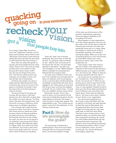## quacking<br>going on inyour environment, recheck yo For so long? I asked Walt. He said he<br>for so long? I asked Walt. He said he<br>*for so* long? I asked Walt. He said he got a

was in the "happiness" business, not the theme park business. Here's what he said: "My picture of the future is that everyone leaving the parks will have the same smile on their faces that they had coming in."

Now, there are values that guide our journey, and some people have too many values. Three or four is the most we need, and they have to be ranked in order, because life is about values conflict. You can't do two things at the same time. The first two values are the most important. If you believe in them, the rest will take care of themselves.

At Disney, the number one value is safety, because Walt Disney knew that if someone got carried out of one of the parks on a stretcher, he wouldn't have the same smile on his face leaving as when he entered.

The second value for his parks was courtesy. But you have to rank them because you don't deal with courtesy when the number one value calls you. The third value is the show, the entertainment. And the fourth is success or efficiency, which helps ensure a profitable organization.

A lot of places don't place financial security as a value. If you don't, everyone then knows that your values are a joke because if there are financial problems, you spend all of your time looking at the financials. But when it's the number four goal, you know you're not going to do anything to save money that will put people in danger. Why? Because safety is a higher value. Your values must drive your behavior. If you have a clear vision and put your goals under that, now you have a sense of where you are going.

That's the "lead" part of servant leadership. Was Jesus clear on this? Yes. He said, "I'm going to make you fishers of men." Was he clear on his picture of the future? Yes. He said, "Go and make disciples of all nations." He didn't say "Go evangelize," he said "Make disciples." What is a disciple? It's somebody who behaves like he's trying to teach.

You have to be a follower of the Lord first to be a disciple, but we forget that it's about our behavior, and not just signing up for a one-time deal, and then behaving completely inconsistently with what we've pledged to do. These values are love God with all your heart, and love thy neighbor as thyself. You are number three – it's God first, your neighbor second, and you third.

Remember, he said, "Even I have come to serve, not to be served. So the vision part of leadership has got to be the responsibility to hierarchy. This doesn't mean you don't involve other people. The responsibility to say, "This is where we are going" comes from the leadership. It's the visionary direction part.

#### Part 2: How do we accomplish the goals?

The second part of leadership is implementation. How do we accomplish the goals? We turn the pyramid upside down, and now the people in charge

of the vision are at the bottom of the pyramid, cheerleading, supporting and encouraging everybody to live according to the vision.

What happens to mess organizations up is that we get egocentric and once we set a vision, then we still want to keep the hierarchy alive and well, and make sure everybody knows who is in charge. What this creates is a whole bunch of ducks. Everybody's quacking, and nobody is soaring like eagles. When you've got a lot of quacking going on in your environment, you had better recheck your vision. Because you haven't got a vision that people buy into.

If you've got a clear vision and you get a lot of static in the system that is irrelevant to that vision but self-serving to different groups, you've got to call them on it. You have to ask, "Where is what you are doing consistent with that vision?"

Let me give you an example from my son. He asked me, "How would like to be the 'one-minute son'?" When he was growing up he used to hope that he'd be punished like the other kids – sent to his room, or even spanked. Instead, he had to show up at the dinner table and talk about how his behavior was inconsistent with family values. That's what we called the kids on. You have to set a vision, whether it's your family or your organization.

You cannot serve anything if you don't have a vision. My father, who was an admiral in the Navy, quit early because he liked the wartime Navy better than the peacetime Navy. Not that he liked to fight, but during wartime, they were really clear on what they were doing. They had a vision during wartime. In the peacetime Navy, no one knew what they were supposed to be doing. As a result, too many leaders believed their job was making others feel unimportant. We spend so much time pushing and shoving for hierarchical positions, when it comes time to implement a vision, we don't let those go. Our role should become encouraging, supporting.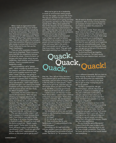When I look at organizations that are doing different things, one of them is Chick-fil-A, which outstrips everybody in the fast food business. They have less than three percent turnover in restaurant managers out of 1,200 restaurants. That's unheard of. Why? Their mission statement says, "We will use the talent the Lord gave us to have a positive influence on everyone who comes in contact with Chick-fil-A." Truett Cathy and his son Dan are the head cheerleaders.

There are other examples of leaders that love to cheerlead. There is a grocery store that kills the competition because it's driven by values. I know of a bank run by guys who have written about servant leadership. Herb Kelleher and Southwest Airlines – that's a complete servant leadership model.

I have something I call a "geezer pack," which includes my driver's license, my passport, and other necessary things that I put in a packet around my neck when I travel. One day I was going to the airport in San Diego and I realized I'd forgotten my geezer pack. It was a few years after 9/11 and everyone's uptight about identification. I didn't have time to go back and get it. So I went to the airport bookstore and they had one of my books with the picture of me with Don Shula, the Miami Dolphins' coach.

Fortunately the first airline I went to was Southwest Airlines. When the guy checking my baggage asked for my identification, I told him I had left it at home, but will this do, and I showed him my book. The guy started yelling, "This man knows Don Shula!" Everybody started high-fiving me. Then a guy in line said he knew the security guards and he thought they could help me, and he got me in.

The next day at another airport I still had no passport or license because there hadn't been time to overnight it to me. I was flying on an airline that was always in financial trouble. I showed my book and the ducks jumped out. "Quack, quack, quack quack!" Pretty soon I'm up five levels talking to a guy in a suit about my identification. I said, "Could you get a life? Do you really think I superimposed my picture on this book just to get by you?"

What we've got to do in leadership is create an environment where people can soar like eagles, not quack like ducks. The way you do that is to set a vision so people know where you're going and what you stand for, and then turn the hierarchy upside down. When Jesus washed the feet of the disciples, he was symbolizing moving from vision to implementation. He said, "This is the way I want us to spread the word. Not from a hierarchy standpoint, and not from an ego standpoint."

If we want people to be interested in our religion, we ought to behave differently. In my company, we have 300 people and partnerships in 32 nations. I deal with every faith in the world. I don't beat people up with Jesus, but they know where I stand. They get really fascinated watching how I behave, and

We all need to develop a personal mission statement. Mine is to be a loving teacher, an example of simple truth that helps me and others to awaken the presence of God in our lives.

The second is pride. That's when you think more of your self than you should. The counter to that is fear, where you think less of yourself than you should. Both edge God out, because you're putting your performance or the opinion of others as the label for your self-worth and forgetting that you are unconditionally loved. If you can get that you are unconditionally loved, you can get your pride out of the way and can listen to feedback.

The third and fourth go together.  $\mathbf{uack}, \text{ The third is pattern.}$  You want results quicker than you deserve them, and God

)uack!

they say, "Ken, tell me more, because I have watched you in good times and in bad times, and you seem to hang in there in the way that you treat people." That's what you've got to do, and then you can tell people where you got it from. That book, the Bible, is a pretty good book.

What would Jesus do about ethics?

I wrote a book with Norman Vincent Peale about ethics. I wasn't even a believer at the time, but I was open. That's when I became a Christian. We decided there were two problems with being ethical and leading like Jesus. The first was knowing the right thing to do. I think most people know the right thing to do. The biggest problem is doing what you know.

We developed an ethics test and told people to ask themselves three questions related to ethics:

1. Is it legal?

2. Is it fair to all involved?

3. How would you like for your family to see it if it were published in the local newspaper?

Something can be legal and unfair,

and you wouldn't want your kids to know. We developed five principles of ethical power. The first is "p" for purpose in life.

is on a different timetable. But you have to keep moving, so the fourth is persistence. You're still doing what you need to do, but you don't try to short-cut the deal. You've got to keep moving but you've got to be patient.

The fifth is perspective. We get this from prayer, solitude, the study of Scripture, a small accountability group. You take a helicopter to the ceiling and get a distance from what you're about to do. A lot of us don't take that time, and don't have people in our lives that give us feedback.

One of the problems we have in this country is that a lot of people are pushing for success, and success is defined by how much money you make, how much recognition you get, and how much power and status you have in your job. There is nothing wrong with making money, and nothing wrong with power and status unless that's who you think you are. People like that miss significance.

Do you know the game Monopoly? I have a friend who used to play it with his grandmother when she came to visit. She was a tough competitor. They'd play for hours, and at the end she would always own everything.